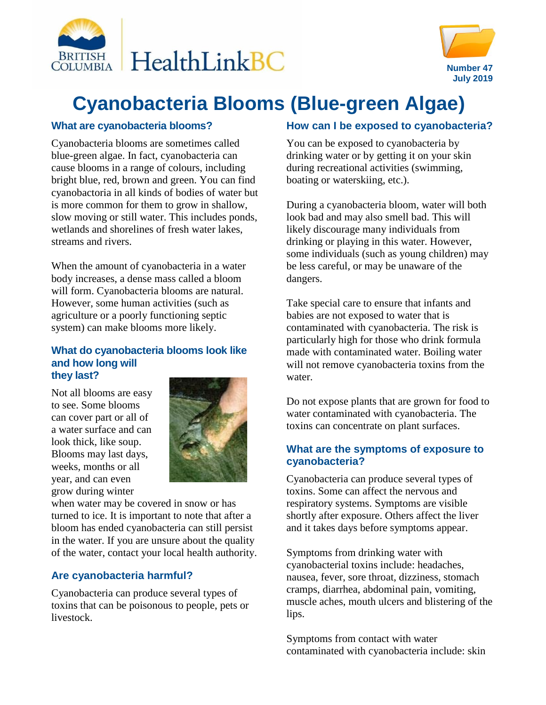



# **Cyanobacteria Blooms (Blue-green Algae)**

#### **What are cyanobacteria blooms?**

Cyanobacteria blooms are sometimes called blue-green algae. In fact, cyanobacteria can cause blooms in a range of colours, including bright blue, red, brown and green. You can find cyanobactoria in all kinds of bodies of water but is more common for them to grow in shallow, slow moving or still water. This includes ponds, wetlands and shorelines of fresh water lakes, streams and rivers.

When the amount of cyanobacteria in a water body increases, a dense mass called a bloom will form. Cyanobacteria blooms are natural. However, some human activities (such as agriculture or a poorly functioning septic system) can make blooms more likely.

#### **What do cyanobacteria blooms look like and how long will they last?**

Not all blooms are easy to see. Some blooms can cover part or all of a water surface and can look thick, like soup. Blooms may last days, weeks, months or all year, and can even grow during winter



when water may be covered in snow or has turned to ice. It is important to note that after a bloom has ended cyanobacteria can still persist in the water. If you are unsure about the quality of the water, contact your local health authority.

# **Are cyanobacteria harmful?**

Cyanobacteria can produce several types of toxins that can be poisonous to people, pets or livestock.

## **How can I be exposed to cyanobacteria?**

You can be exposed to cyanobacteria by drinking water or by getting it on your skin during recreational activities (swimming, boating or waterskiing, etc.).

During a cyanobacteria bloom, water will both look bad and may also smell bad. This will likely discourage many individuals from drinking or playing in this water. However, some individuals (such as young children) may be less careful, or may be unaware of the dangers.

Take special care to ensure that infants and babies are not exposed to water that is contaminated with cyanobacteria. The risk is particularly high for those who drink formula made with contaminated water. Boiling water will not remove cyanobacteria toxins from the water.

Do not expose plants that are grown for food to water contaminated with cyanobacteria. The toxins can concentrate on plant surfaces.

#### **What are the symptoms of exposure to cyanobacteria?**

Cyanobacteria can produce several types of toxins. Some can affect the nervous and respiratory systems. Symptoms are visible shortly after exposure. Others affect the liver and it takes days before symptoms appear.

Symptoms from drinking water with cyanobacterial toxins include: headaches, nausea, fever, sore throat, dizziness, stomach cramps, diarrhea, abdominal pain, vomiting, muscle aches, mouth ulcers and blistering of the lips.

Symptoms from contact with water contaminated with cyanobacteria include: skin